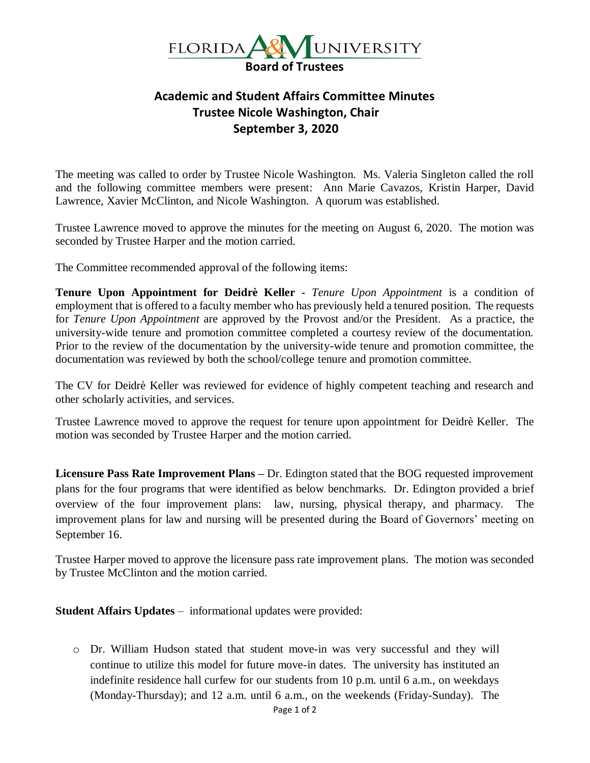

## **Academic and Student Affairs Committee Minutes Trustee Nicole Washington, Chair September 3, 2020**

The meeting was called to order by Trustee Nicole Washington. Ms. Valeria Singleton called the roll and the following committee members were present: Ann Marie Cavazos, Kristin Harper, David Lawrence, Xavier McClinton, and Nicole Washington. A quorum was established.

Trustee Lawrence moved to approve the minutes for the meeting on August 6, 2020. The motion was seconded by Trustee Harper and the motion carried.

The Committee recommended approval of the following items:

**Tenure Upon Appointment for Deidrè Keller -** *Tenure Upon Appointment* is a condition of employment that is offered to a faculty member who has previously held a tenured position. The requests for *Tenure Upon Appointment* are approved by the Provost and/or the President. As a practice, the university-wide tenure and promotion committee completed a courtesy review of the documentation. Prior to the review of the documentation by the university-wide tenure and promotion committee, the documentation was reviewed by both the school/college tenure and promotion committee.

The CV for Deidrè Keller was reviewed for evidence of highly competent teaching and research and other scholarly activities, and services.

Trustee Lawrence moved to approve the request for tenure upon appointment for Deidrè Keller. The motion was seconded by Trustee Harper and the motion carried.

**Licensure Pass Rate Improvement Plans –** Dr. Edington stated that the BOG requested improvement plans for the four programs that were identified as below benchmarks. Dr. Edington provided a brief overview of the four improvement plans: law, nursing, physical therapy, and pharmacy. The improvement plans for law and nursing will be presented during the Board of Governors' meeting on September 16.

Trustee Harper moved to approve the licensure pass rate improvement plans. The motion was seconded by Trustee McClinton and the motion carried.

**Student Affairs Updates** – informational updates were provided:

o Dr. William Hudson stated that student move-in was very successful and they will continue to utilize this model for future move-in dates. The university has instituted an indefinite residence hall curfew for our students from 10 p.m. until 6 a.m., on weekdays (Monday-Thursday); and 12 a.m. until 6 a.m., on the weekends (Friday-Sunday). The